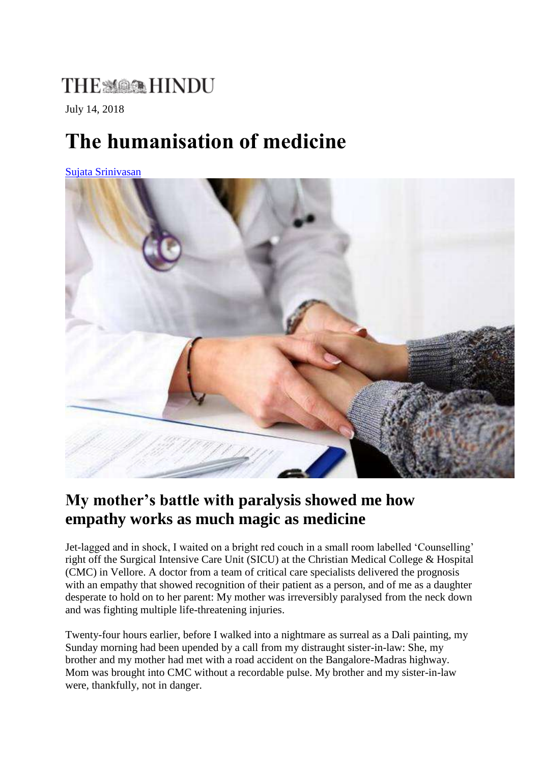## **THE MARK HINDU**

July 14, 2018

# **The humanisation of medicine**

[Sujata Srinivasan](https://www.thehindu.com/profile/author/Sujata-Srinivasan-21566/) 



#### **My mother's battle with paralysis showed me how empathy works as much magic as medicine**

Jet-lagged and in shock, I waited on a bright red couch in a small room labelled 'Counselling' right off the Surgical Intensive Care Unit (SICU) at the Christian Medical College & Hospital (CMC) in Vellore. A doctor from a team of critical care specialists delivered the prognosis with an empathy that showed recognition of their patient as a person, and of me as a daughter desperate to hold on to her parent: My mother was irreversibly paralysed from the neck down and was fighting multiple life-threatening injuries.

Twenty-four hours earlier, before I walked into a nightmare as surreal as a Dali painting, my Sunday morning had been upended by a call from my distraught sister-in-law: She, my brother and my mother had met with a road accident on the Bangalore-Madras highway. Mom was brought into CMC without a recordable pulse. My brother and my sister-in-law were, thankfully, not in danger.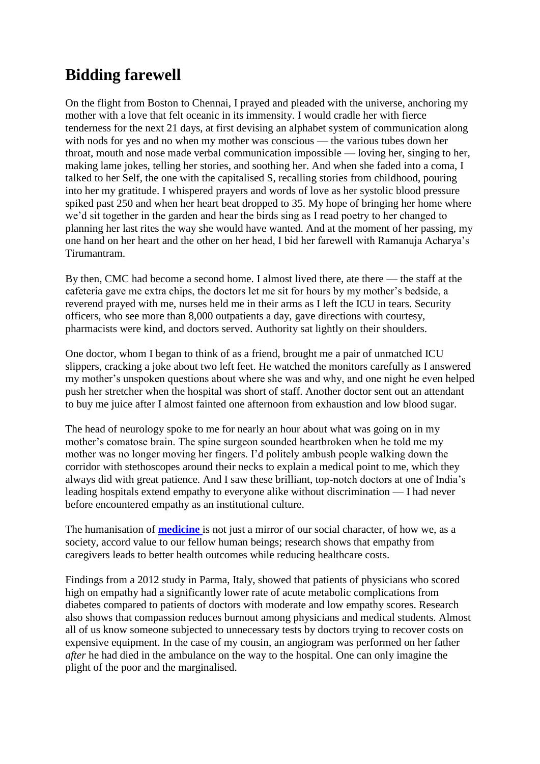### **Bidding farewell**

On the flight from Boston to Chennai, I prayed and pleaded with the universe, anchoring my mother with a love that felt oceanic in its immensity. I would cradle her with fierce tenderness for the next 21 days, at first devising an alphabet system of communication along with nods for yes and no when my mother was conscious — the various tubes down her throat, mouth and nose made verbal communication impossible — loving her, singing to her, making lame jokes, telling her stories, and soothing her. And when she faded into a coma, I talked to her Self, the one with the capitalised S, recalling stories from childhood, pouring into her my gratitude. I whispered prayers and words of love as her systolic blood pressure spiked past 250 and when her heart beat dropped to 35. My hope of bringing her home where we'd sit together in the garden and hear the birds sing as I read poetry to her changed to planning her last rites the way she would have wanted. And at the moment of her passing, my one hand on her heart and the other on her head, I bid her farewell with Ramanuja Acharya's Tirumantram.

By then, CMC had become a second home. I almost lived there, ate there — the staff at the cafeteria gave me extra chips, the doctors let me sit for hours by my mother's bedside, a reverend prayed with me, nurses held me in their arms as I left the ICU in tears. Security officers, who see more than 8,000 outpatients a day, gave directions with courtesy, pharmacists were kind, and doctors served. Authority sat lightly on their shoulders.

One doctor, whom I began to think of as a friend, brought me a pair of unmatched ICU slippers, cracking a joke about two left feet. He watched the monitors carefully as I answered my mother's unspoken questions about where she was and why, and one night he even helped push her stretcher when the hospital was short of staff. Another doctor sent out an attendant to buy me juice after I almost fainted one afternoon from exhaustion and low blood sugar.

The head of neurology spoke to me for nearly an hour about what was going on in my mother's comatose brain. The spine surgeon sounded heartbroken when he told me my mother was no longer moving her fingers. I'd politely ambush people walking down the corridor with stethoscopes around their necks to explain a medical point to me, which they always did with great patience. And I saw these brilliant, top-notch doctors at one of India's leading hospitals extend empathy to everyone alike without discrimination — I had never before encountered empathy as an institutional culture.

The humanisation of **[medicine](https://www.thehindu.com/tag/1129-1073/medicine/?utm=bodytag)** is not just a mirror of our social character, of how we, as a society, accord value to our fellow human beings; research shows that empathy from caregivers leads to better health outcomes while reducing healthcare costs.

Findings from a 2012 study in Parma, Italy, showed that patients of physicians who scored high on empathy had a significantly lower rate of acute metabolic complications from diabetes compared to patients of doctors with moderate and low empathy scores. Research also shows that compassion reduces burnout among physicians and medical students. Almost all of us know someone subjected to unnecessary tests by doctors trying to recover costs on expensive equipment. In the case of my cousin, an angiogram was performed on her father *after* he had died in the ambulance on the way to the hospital. One can only imagine the plight of the poor and the marginalised.